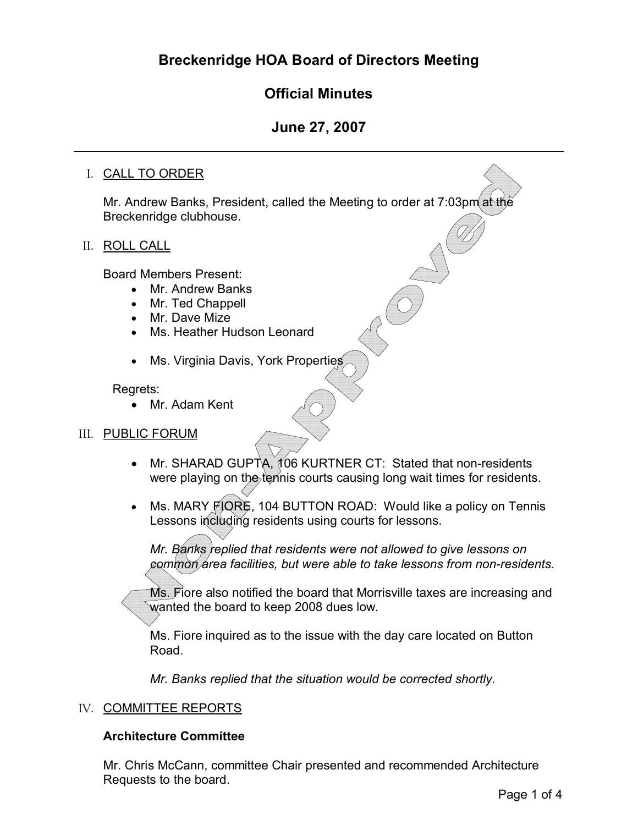# **Official Minutes**

# **June 27, 2007**

#### I. CALL TO ORDER

Mr. Andrew Banks, President, called the Meeting to order at 7:03pm at the Breckenridge clubhouse.

#### II. ROLL CALL

Board Members Present:

- Mr. Andrew Banks
- Mr. Ted Chappell
- Mr. Dave Mize
- Ms. Heather Hudson Leonard
- Ms. Virginia Davis, York Properties

#### Regrets:

• Mr. Adam Kent

#### III. PUBLIC FORUM

- $\bullet$  Mr. SHARAD GUPTA, 106 KURTNER CT: Stated that non-residents were playing on the tennis courts causing long wait times for residents.
- $\bullet$  Ms. MARY  $\cancel{F}$  QRE, 104 BUTTON ROAD: Would like a policy on Tennis Lessons including residents using courts for lessons.

*Mr. Banks replied that residents were not allowed to give lessons on common area facilities, but were able to take lessons from non-residents.*

Ms. Fiore also notified the board that Morrisville taxes are increasing and wanted the board to keep 2008 dues low.

Ms. Fiore inquired as to the issue with the day care located on Button Road.

*Mr. Banks replied that the situation would be corrected shortly.*

#### IV. COMMITTEE REPORTS

#### **Architecture Committee**

Mr. Chris McCann, committee Chair presented and recommended Architecture Requests to the board.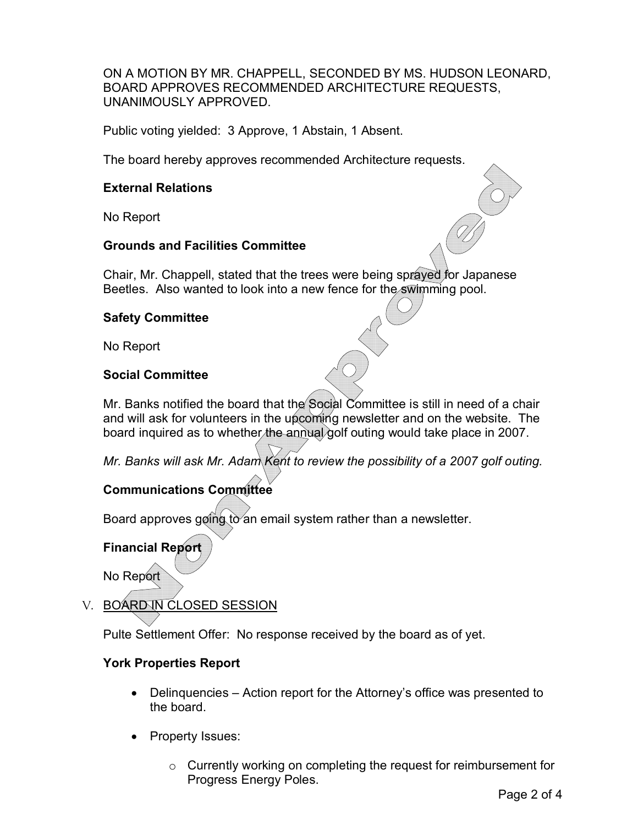ON A MOTION BY MR. CHAPPELL, SECONDED BY MS. HUDSON LEONARD, BOARD APPROVES RECOMMENDED ARCHITECTURE REQUESTS, UNANIMOUSLY APPROVED.

Public voting yielded: 3 Approve, 1 Abstain, 1 Absent.

The board hereby approves recommended Architecture requests.

#### **External Relations**

No Report

#### **Grounds and Facilities Committee**

Chair, Mr. Chappell, stated that the trees were being sprayed for Japanese Beetles. Also wanted to look into a new fence for the swimming pool.

#### **Safety Committee**

No Report

#### **Social Committee**

Mr. Banks notified the board that the Social Committee is still in need of a chair and will ask for volunteers in the upcoming newsletter and on the website. The board inquired as to whether the annual golf outing would take place in 2007.

*Mr. Banks will ask Mr. Adam Kent to review the possibility of a 2007 golf outing.*

## **Communications Committee**

Board approves going to an email system rather than a newsletter.

## **Financial Report**

No Report

# V. BOARD IN CLOSED SESSION

Pulte Settlement Offer: No response received by the board as of yet.

#### **York Properties Report**

- Delinquencies Action report for the Attorney's office was presented to the board.
- Property Issues:
	- o Currently working on completing the request for reimbursement for Progress Energy Poles.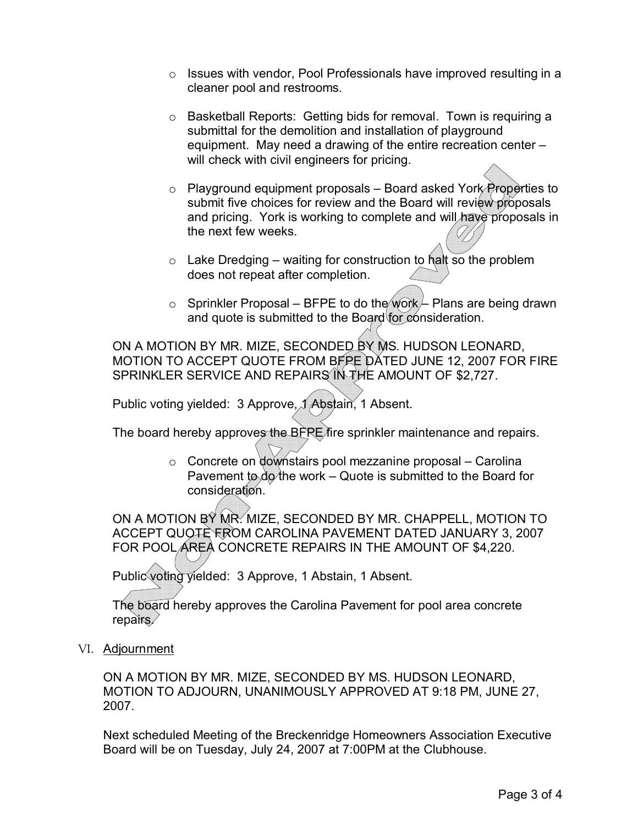- $\circ$  Issues with vendor, Pool Professionals have improved resulting in a cleaner pool and restrooms.
- o Basketball Reports: Getting bids for removal. Town is requiring a submittal for the demolition and installation of playground equipment. May need a drawing of the entire recreation center – will check with civil engineers for pricing.
- $\circ$  Playground equipment proposals Board asked York Properties to submit five choices for review and the Board will review proposals and pricing. York is working to complete and will have proposals in the next few weeks.
- $\circ$  Lake Dredging waiting for construction to halt so the problem does not repeat after completion.
- $\circ$  Sprinkler Proposal BFPE to do the work Plans are being drawn and quote is submitted to the Board for consideration.

ON A MOTION BY MR. MIZE, SECONDED BY MS. HUDSON LEONARD, MOTION TO ACCEPT QUOTE FROM BERE DATED JUNE 12, 2007 FOR FIRE SPRINKLER SERVICE AND REPAIRS IN THE AMOUNT OF \$2,727.

Public voting yielded: 3 Approve, 1 Abstain, 1 Absent.

The board hereby approves the BFPE fire sprinkler maintenance and repairs.

o Concrete on downstairs pool mezzanine proposal – Carolina Pavement to  $d\varphi$  the work – Quote is submitted to the Board for consideration.

ON A MOTION BY MR. MIZE, SECONDED BY MR. CHAPPELL, MOTION TO ACCEPT QUOTE FROM CAROLINA PAVEMENT DATED JANUARY 3, 2007 FOR POOL AREA CONCRETE REPAIRS IN THE AMOUNT OF \$4,220.

Public voting yielded: 3 Approve, 1 Abstain, 1 Absent.

The board hereby approves the Carolina Pavement for pool area concrete repairs.

VI. Adjournment

ON A MOTION BY MR. MIZE, SECONDED BY MS. HUDSON LEONARD, MOTION TO ADJOURN, UNANIMOUSLY APPROVED AT 9:18 PM, JUNE 27, 2007.

Next scheduled Meeting of the Breckenridge Homeowners Association Executive Board will be on Tuesday, July 24, 2007 at 7:00PM at the Clubhouse.